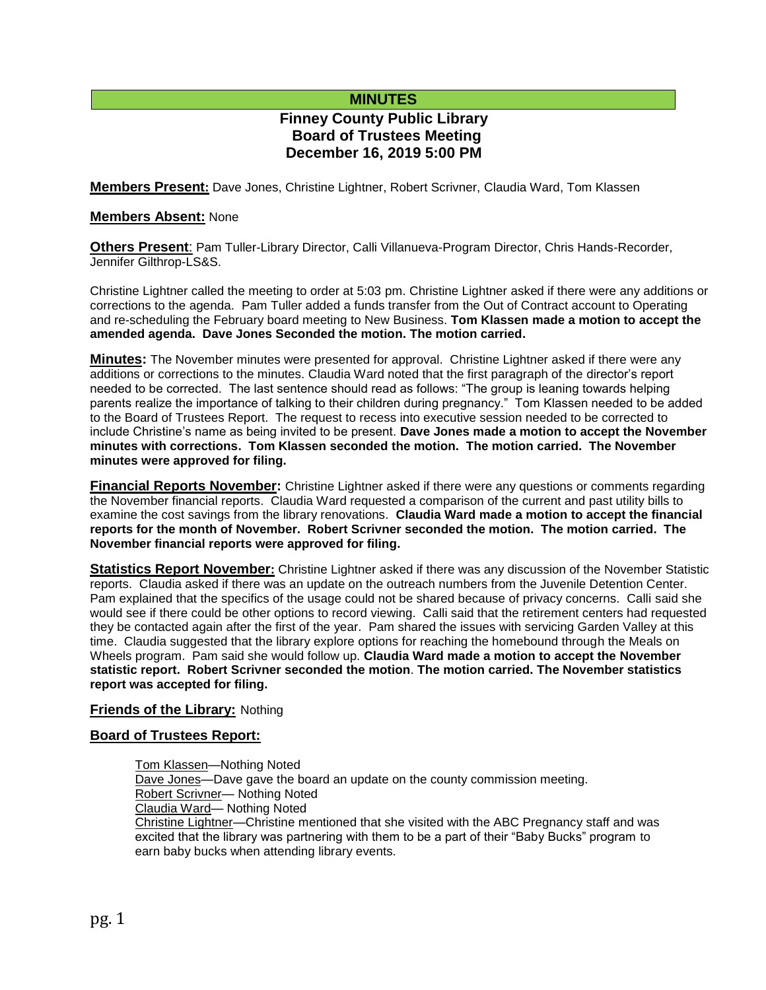# **MINUTES**

# **Finney County Public Library Board of Trustees Meeting December 16, 2019 5:00 PM**

**Members Present:** Dave Jones, Christine Lightner, Robert Scrivner, Claudia Ward, Tom Klassen

### **Members Absent:** None

**Others Present**: Pam Tuller-Library Director, Calli Villanueva-Program Director, Chris Hands-Recorder, Jennifer Gilthrop-LS&S.

Christine Lightner called the meeting to order at 5:03 pm. Christine Lightner asked if there were any additions or corrections to the agenda. Pam Tuller added a funds transfer from the Out of Contract account to Operating and re-scheduling the February board meeting to New Business. **Tom Klassen made a motion to accept the amended agenda. Dave Jones Seconded the motion. The motion carried.**

**Minutes:** The November minutes were presented for approval. Christine Lightner asked if there were any additions or corrections to the minutes. Claudia Ward noted that the first paragraph of the director's report needed to be corrected. The last sentence should read as follows: "The group is leaning towards helping parents realize the importance of talking to their children during pregnancy." Tom Klassen needed to be added to the Board of Trustees Report. The request to recess into executive session needed to be corrected to include Christine's name as being invited to be present. **Dave Jones made a motion to accept the November minutes with corrections. Tom Klassen seconded the motion. The motion carried. The November minutes were approved for filing.** 

**Financial Reports November:** Christine Lightner asked if there were any questions or comments regarding the November financial reports. Claudia Ward requested a comparison of the current and past utility bills to examine the cost savings from the library renovations. **Claudia Ward made a motion to accept the financial reports for the month of November. Robert Scrivner seconded the motion. The motion carried. The November financial reports were approved for filing.**

**Statistics Report November:** Christine Lightner asked if there was any discussion of the November Statistic reports. Claudia asked if there was an update on the outreach numbers from the Juvenile Detention Center. Pam explained that the specifics of the usage could not be shared because of privacy concerns. Calli said she would see if there could be other options to record viewing. Calli said that the retirement centers had requested they be contacted again after the first of the year. Pam shared the issues with servicing Garden Valley at this time. Claudia suggested that the library explore options for reaching the homebound through the Meals on Wheels program. Pam said she would follow up. **Claudia Ward made a motion to accept the November statistic report. Robert Scrivner seconded the motion**. **The motion carried. The November statistics report was accepted for filing.**

# **Friends of the Library:** Nothing

# **Board of Trustees Report:**

Tom Klassen—Nothing Noted Dave Jones—Dave gave the board an update on the county commission meeting. Robert Scrivner— Nothing Noted Claudia Ward— Nothing Noted Christine Lightner—Christine mentioned that she visited with the ABC Pregnancy staff and was excited that the library was partnering with them to be a part of their "Baby Bucks" program to earn baby bucks when attending library events.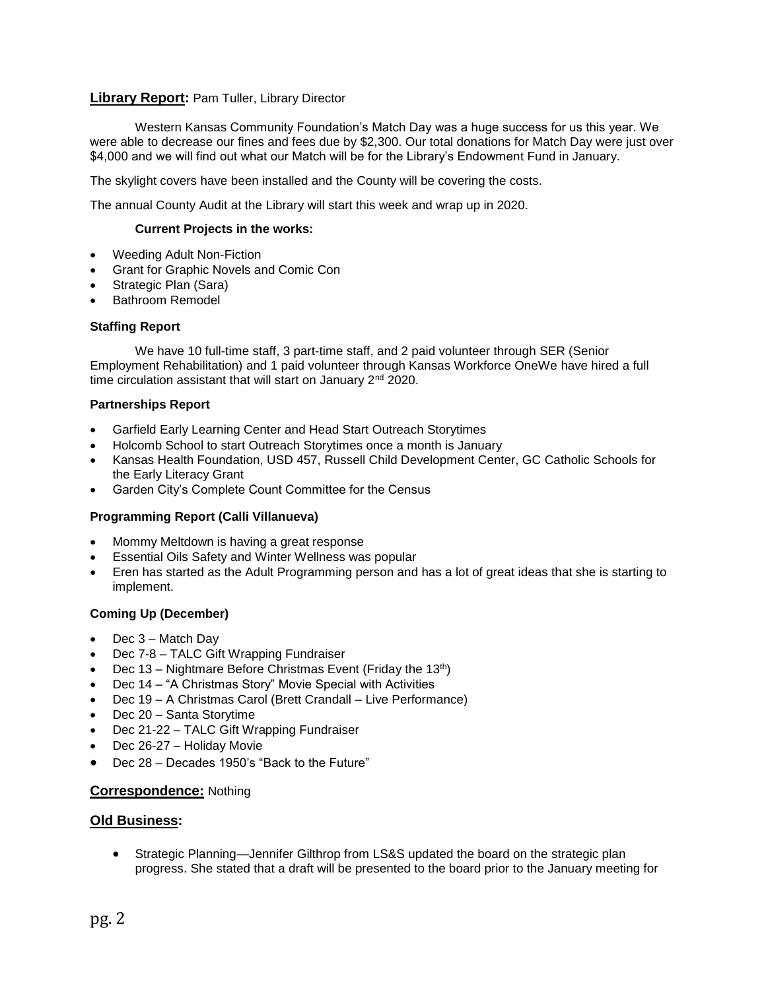# **Library Report:** Pam Tuller, Library Director

Western Kansas Community Foundation's Match Day was a huge success for us this year. We were able to decrease our fines and fees due by \$2,300. Our total donations for Match Day were just over \$4,000 and we will find out what our Match will be for the Library's Endowment Fund in January.

The skylight covers have been installed and the County will be covering the costs.

The annual County Audit at the Library will start this week and wrap up in 2020.

#### **Current Projects in the works:**

- Weeding Adult Non-Fiction
- Grant for Graphic Novels and Comic Con
- Strategic Plan (Sara)
- Bathroom Remodel

#### **Staffing Report**

We have 10 full-time staff, 3 part-time staff, and 2 paid volunteer through SER (Senior Employment Rehabilitation) and 1 paid volunteer through Kansas Workforce OneWe have hired a full time circulation assistant that will start on January 2<sup>nd</sup> 2020.

#### **Partnerships Report**

- Garfield Early Learning Center and Head Start Outreach Storytimes
- Holcomb School to start Outreach Storytimes once a month is January
- Kansas Health Foundation, USD 457, Russell Child Development Center, GC Catholic Schools for the Early Literacy Grant
- Garden City's Complete Count Committee for the Census

# **Programming Report (Calli Villanueva)**

- Mommy Meltdown is having a great response
- Essential Oils Safety and Winter Wellness was popular
- Eren has started as the Adult Programming person and has a lot of great ideas that she is starting to implement.

#### **Coming Up (December)**

- Dec 3 Match Day
- Dec 7-8 TALC Gift Wrapping Fundraiser
- Dec 13 Nightmare Before Christmas Event (Friday the 13<sup>th</sup>)
- Dec 14 "A Christmas Story" Movie Special with Activities
- Dec 19 A Christmas Carol (Brett Crandall Live Performance)
- Dec 20 Santa Storytime
- Dec 21-22 TALC Gift Wrapping Fundraiser
- Dec 26-27 Holiday Movie
- Dec 28 Decades 1950's "Back to the Future"

# **Correspondence:** Nothing

# **Old Business:**

 Strategic Planning—Jennifer Gilthrop from LS&S updated the board on the strategic plan progress. She stated that a draft will be presented to the board prior to the January meeting for